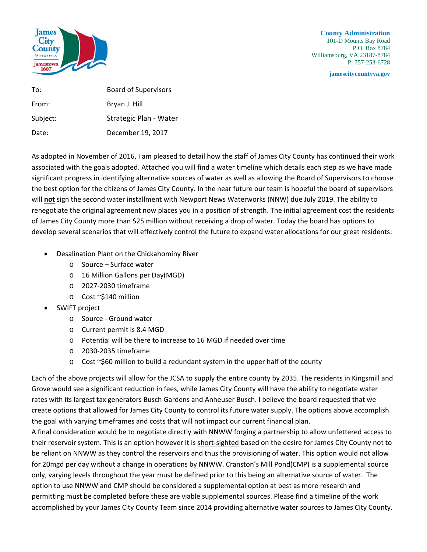

**County Administration** 101-D Mounts Bay Road P.O. Box 8784 Williamsburg, VA 23187-8784 P: 757-253-6728

**jamescitycountyva.gov**

| To:      | <b>Board of Supervisors</b> |
|----------|-----------------------------|
| From:    | Bryan J. Hill               |
| Subject: | Strategic Plan - Water      |
| Date:    | December 19, 2017           |

As adopted in November of 2016, I am pleased to detail how the staff of James City County has continued their work associated with the goals adopted. Attached you will find a water timeline which details each step as we have made significant progress in identifying alternative sources of water as well as allowing the Board of Supervisors to choose the best option for the citizens of James City County. In the near future our team is hopeful the board of supervisors will **not** sign the second water installment with Newport News Waterworks (NNW) due July 2019. The ability to renegotiate the original agreement now places you in a position of strength. The initial agreement cost the residents of James City County more than \$25 million without receiving a drop of water. Today the board has options to develop several scenarios that will effectively control the future to expand water allocations for our great residents:

- Desalination Plant on the Chickahominy River
	- o Source Surface water
	- o 16 Million Gallons per Day(MGD)
	- o 2027-2030 timeframe
	- o Cost ~\$140 million
- SWIFT project
	- o Source Ground water
	- o Current permit is 8.4 MGD
	- o Potential will be there to increase to 16 MGD if needed over time
	- o 2030-2035 timeframe
	- $\circ$  Cost ~\$60 million to build a redundant system in the upper half of the county

Each of the above projects will allow for the JCSA to supply the entire county by 2035. The residents in Kingsmill and Grove would see a significant reduction in fees, while James City County will have the ability to negotiate water rates with its largest tax generators Busch Gardens and Anheuser Busch. I believe the board requested that we create options that allowed for James City County to control its future water supply. The options above accomplish the goal with varying timeframes and costs that will not impact our current financial plan.

A final consideration would be to negotiate directly with NNWW forging a partnership to allow unfettered access to their reservoir system. This is an option however it is short-sighted based on the desire for James City County not to be reliant on NNWW as they control the reservoirs and thus the provisioning of water. This option would not allow for 20mgd per day without a change in operations by NNWW. Cranston's Mill Pond(CMP) is a supplemental source only, varying levels throughout the year must be defined prior to this being an alternative source of water. The option to use NNWW and CMP should be considered a supplemental option at best as more research and permitting must be completed before these are viable supplemental sources. Please find a timeline of the work accomplished by your James City County Team since 2014 providing alternative water sources to James City County.